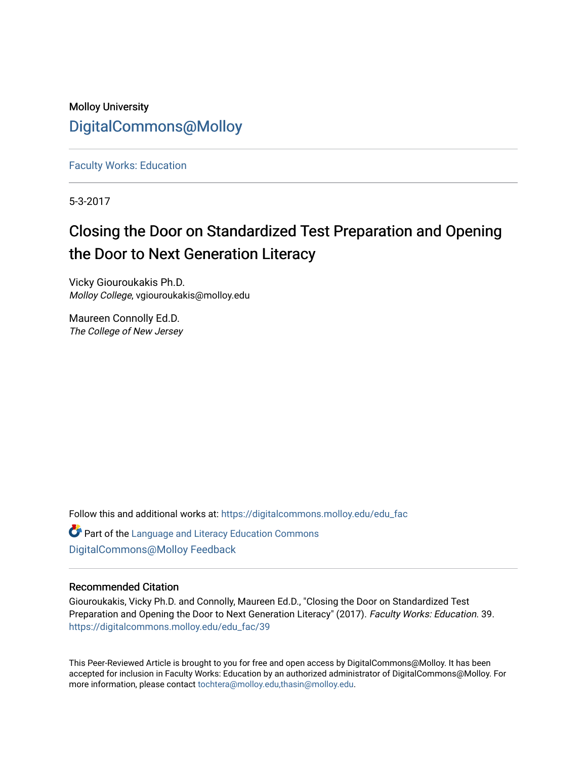### Molloy University [DigitalCommons@Molloy](https://digitalcommons.molloy.edu/)

[Faculty Works: Education](https://digitalcommons.molloy.edu/edu_fac) 

5-3-2017

### Closing the Door on Standardized Test Preparation and Opening the Door to Next Generation Literacy

Vicky Giouroukakis Ph.D. Molloy College, vgiouroukakis@molloy.edu

Maureen Connolly Ed.D. The College of New Jersey

Follow this and additional works at: [https://digitalcommons.molloy.edu/edu\\_fac](https://digitalcommons.molloy.edu/edu_fac?utm_source=digitalcommons.molloy.edu%2Fedu_fac%2F39&utm_medium=PDF&utm_campaign=PDFCoverPages)

**C** Part of the Language and Literacy Education Commons [DigitalCommons@Molloy Feedback](https://molloy.libwizard.com/f/dcfeedback)

#### Recommended Citation

Giouroukakis, Vicky Ph.D. and Connolly, Maureen Ed.D., "Closing the Door on Standardized Test Preparation and Opening the Door to Next Generation Literacy" (2017). Faculty Works: Education. 39. [https://digitalcommons.molloy.edu/edu\\_fac/39](https://digitalcommons.molloy.edu/edu_fac/39?utm_source=digitalcommons.molloy.edu%2Fedu_fac%2F39&utm_medium=PDF&utm_campaign=PDFCoverPages) 

This Peer-Reviewed Article is brought to you for free and open access by DigitalCommons@Molloy. It has been accepted for inclusion in Faculty Works: Education by an authorized administrator of DigitalCommons@Molloy. For more information, please contact [tochtera@molloy.edu,thasin@molloy.edu.](mailto:tochtera@molloy.edu,thasin@molloy.edu)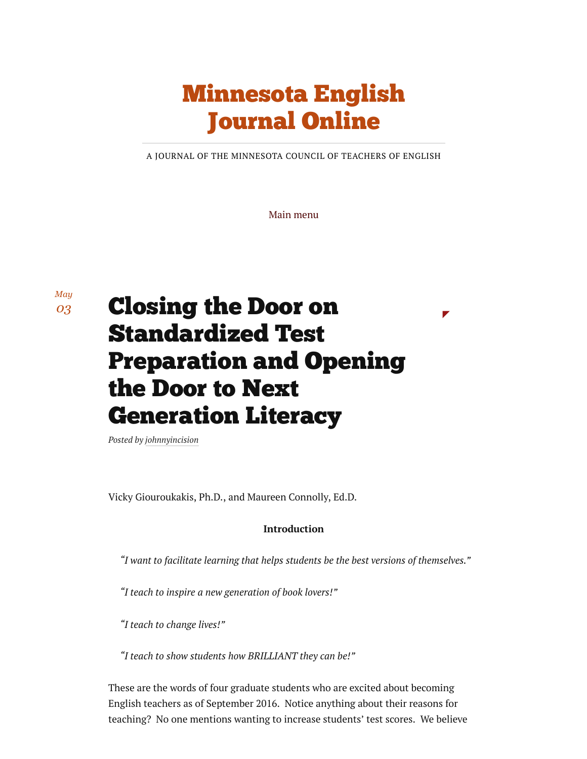## [Minnesota](https://minnesotaenglishjournalonline.org/) English Journal Online

A JOURNAL OF THE MINNESOTA COUNCIL OF TEACHERS OF ENGLISH

Main menu

*May [03](https://minnesotaenglishjournalonline.org/2017/05/03/closing-the-door-on-standardized-test-preparation-and-opening-the-door-to-next-generation-literacy/)*

# Closing the Door on Standardized Test Preparation and Opening the Door to Next Generation Literacy

*Posted by [johnnyincision](https://minnesotaenglishjournalonline.org/author/johnnyincision/)*

Vicky Giouroukakis, Ph.D., and Maureen Connolly, Ed.D.

#### Introduction

*"I want to facilitate learning that helps students be the best versions of themselves."*

*"I teach to inspire a new generation of book lovers!"*

*"I teach to change lives!"*

*"I teach to show students how BRILLIANT they can be!"*

These are the words of four graduate students who are excited about becoming English teachers as of September 2016. Notice anything about their reasons for teaching? No one mentions wanting to increase students' test scores. We believe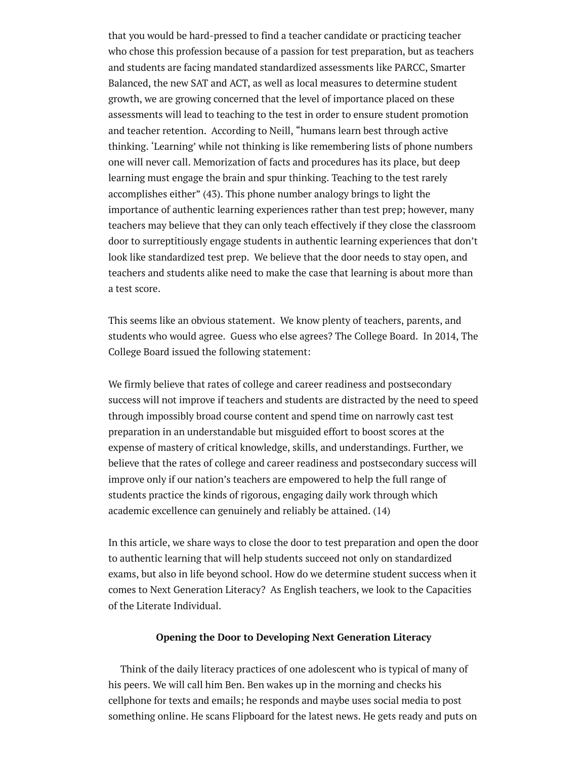that you would be hard-pressed to find a teacher candidate or practicing teacher who chose this profession because of a passion for test preparation, but as teachers and students are facing mandated standardized assessments like PARCC, Smarter Balanced, the new SAT and ACT, as well as local measures to determine student growth, we are growing concerned that the level of importance placed on these assessments will lead to teaching to the test in order to ensure student promotion and teacher retention. According to Neill, "humans learn best through active thinking. 'Learning' while not thinking is like remembering lists of phone numbers one will never call. Memorization of facts and procedures has its place, but deep learning must engage the brain and spur thinking. Teaching to the test rarely accomplishes either" (43). This phone number analogy brings to light the importance of authentic learning experiences rather than test prep; however, many teachers may believe that they can only teach effectively if they close the classroom door to surreptitiously engage students in authentic learning experiences that don't look like standardized test prep. We believe that the door needs to stay open, and teachers and students alike need to make the case that learning is about more than a test score.

This seems like an obvious statement. We know plenty of teachers, parents, and students who would agree. Guess who else agrees? The College Board. In 2014, The College Board issued the following statement:

We firmly believe that rates of college and career readiness and postsecondary success will not improve if teachers and students are distracted by the need to speed through impossibly broad course content and spend time on narrowly cast test preparation in an understandable but misguided effort to boost scores at the expense of mastery of critical knowledge, skills, and understandings. Further, we believe that the rates of college and career readiness and postsecondary success will improve only if our nation's teachers are empowered to help the full range of students practice the kinds of rigorous, engaging daily work through which academic excellence can genuinely and reliably be attained. (14)

In this article, we share ways to close the door to test preparation and open the door to authentic learning that will help students succeed not only on standardized exams, but also in life beyond school. How do we determine student success when it comes to Next Generation Literacy? As English teachers, we look to the Capacities of the Literate Individual.

#### Opening the Door to Developing Next Generation Literacy

Think of the daily literacy practices of one adolescent who is typical of many of his peers. We will call him Ben. Ben wakes up in the morning and checks his cellphone for texts and emails; he responds and maybe uses social media to post something online. He scans Flipboard for the latest news. He gets ready and puts on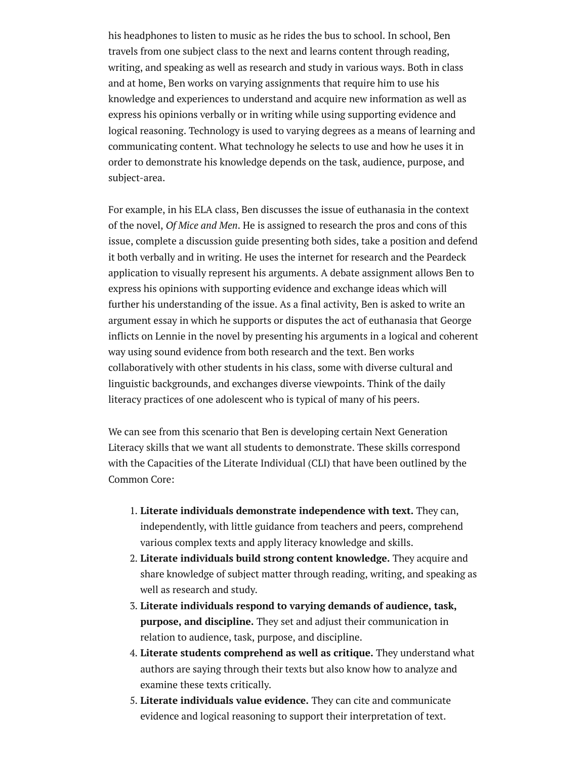his headphones to listen to music as he rides the bus to school. In school, Ben travels from one subject class to the next and learns content through reading, writing, and speaking as well as research and study in various ways. Both in class and at home, Ben works on varying assignments that require him to use his knowledge and experiences to understand and acquire new information as well as express his opinions verbally or in writing while using supporting evidence and logical reasoning. Technology is used to varying degrees as a means of learning and communicating content. What technology he selects to use and how he uses it in order to demonstrate his knowledge depends on the task, audience, purpose, and subject-area.

For example, in his ELA class, Ben discusses the issue of euthanasia in the context of the novel, *Of Mice and Men*. He is assigned to research the pros and cons of this issue, complete a discussion guide presenting both sides, take a position and defend it both verbally and in writing. He uses the internet for research and the Peardeck application to visually represent his arguments. A debate assignment allows Ben to express his opinions with supporting evidence and exchange ideas which will further his understanding of the issue. As a final activity, Ben is asked to write an argument essay in which he supports or disputes the act of euthanasia that George inflicts on Lennie in the novel by presenting his arguments in a logical and coherent way using sound evidence from both research and the text. Ben works collaboratively with other students in his class, some with diverse cultural and linguistic backgrounds, and exchanges diverse viewpoints. Think of the daily literacy practices of one adolescent who is typical of many of his peers.

We can see from this scenario that Ben is developing certain Next Generation Literacy skills that we want all students to demonstrate. These skills correspond with the Capacities of the Literate Individual (CLI) that have been outlined by the Common Core:

- 1. Literate individuals demonstrate independence with text. They can, independently, with little guidance from teachers and peers, comprehend various complex texts and apply literacy knowledge and skills.
- 2. Literate individuals build strong content knowledge. They acquire and share knowledge of subject matter through reading, writing, and speaking as well as research and study.
- 3. Literate individuals respond to varying demands of audience, task, purpose, and discipline. They set and adjust their communication in relation to audience, task, purpose, and discipline.
- 4. Literate students comprehend as well as critique. They understand what authors are saying through their texts but also know how to analyze and examine these texts critically.
- 5. Literate individuals value evidence. They can cite and communicate evidence and logical reasoning to support their interpretation of text.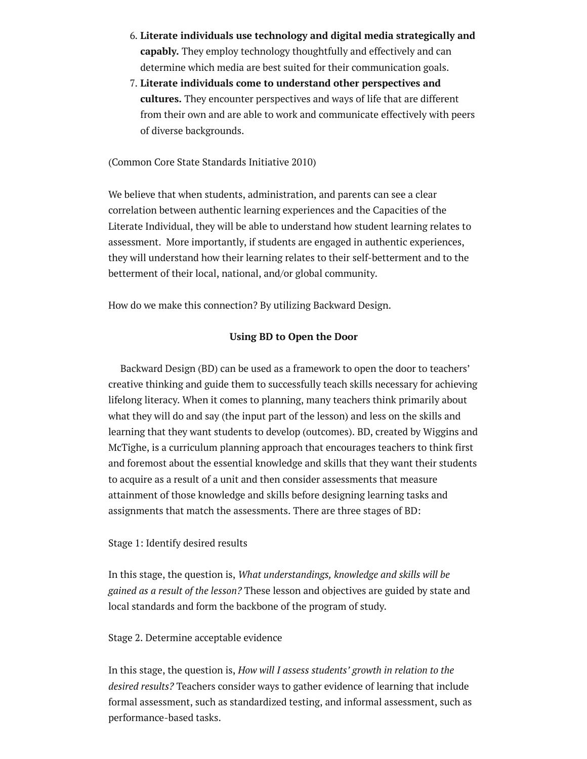- 6. Literate individuals use technology and digital media strategically and capably. They employ technology thoughtfully and effectively and can determine which media are best suited for their communication goals.
- 7. Literate individuals come to understand other perspectives and cultures. They encounter perspectives and ways of life that are different from their own and are able to work and communicate effectively with peers of diverse backgrounds.

(Common Core State Standards Initiative 2010)

We believe that when students, administration, and parents can see a clear correlation between authentic learning experiences and the Capacities of the Literate Individual, they will be able to understand how student learning relates to assessment. More importantly, if students are engaged in authentic experiences, they will understand how their learning relates to their self-betterment and to the betterment of their local, national, and/or global community.

How do we make this connection? By utilizing Backward Design.

#### Using BD to Open the Door

Backward Design (BD) can be used as a framework to open the door to teachers' creative thinking and guide them to successfully teach skills necessary for achieving lifelong literacy. When it comes to planning, many teachers think primarily about what they will do and say (the input part of the lesson) and less on the skills and learning that they want students to develop (outcomes). BD, created by Wiggins and McTighe, is a curriculum planning approach that encourages teachers to think first and foremost about the essential knowledge and skills that they want their students to acquire as a result of a unit and then consider assessments that measure attainment of those knowledge and skills before designing learning tasks and assignments that match the assessments. There are three stages of BD:

#### Stage 1: Identify desired results

In this stage, the question is, *What understandings, knowledge and skills will be gained as a result of the lesson?* These lesson and objectives are guided by state and local standards and form the backbone of the program of study.

#### Stage 2. Determine acceptable evidence

In this stage, the question is, *How will I assess students' growth in relation to the desired results?* Teachers consider ways to gather evidence of learning that include formal assessment, such as standardized testing, and informal assessment, such as performance-based tasks.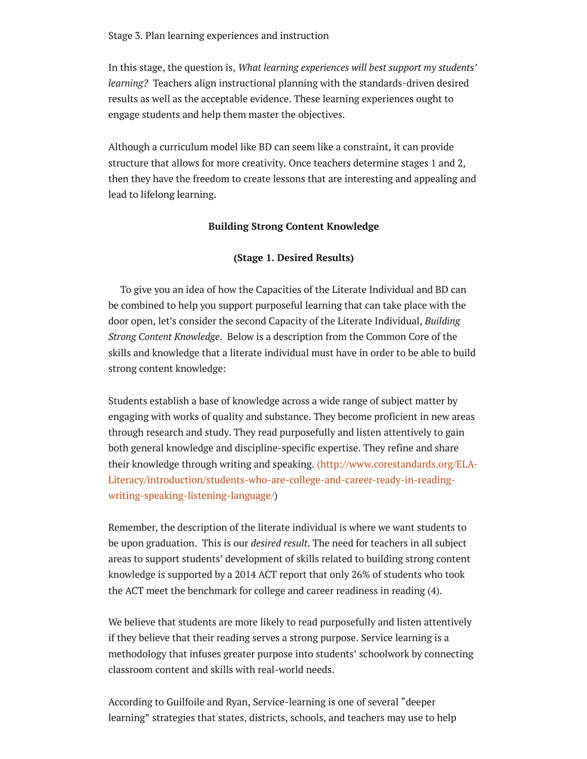Stage 3. Plan learning experiences and instruction

In this stage, the question is, *What learning experiences will best support my students' learning?* Teachers align instructional planning with the standards-driven desired results as well as the acceptable evidence. These learning experiences ought to engage students and help them master the objectives.

Although a curriculum model like BD can seem like a constraint, it can provide structure that allows for more creativity. Once teachers determine stages 1 and 2, then they have the freedom to create lessons that are interesting and appealing and lead to lifelong learning.

#### Building Strong Content Knowledge

#### (Stage 1. Desired Results)

To give you an idea of how the Capacities of the Literate Individual and BD can be combined to help you support purposeful learning that can take place with the door open, let's consider the second Capacity of the Literate Individual, *Building Strong Content Knowledge*. Below is a description from the Common Core of the skills and knowledge that a literate individual must have in order to be able to build strong content knowledge:

Students establish a base of knowledge across a wide range of subject matter by engaging with works of quality and substance. They become proficient in new areas through research and study. They read purposefully and listen attentively to gain both general knowledge and discipline-specific expertise. They refine and share their knowledge through writing and speaking. (http://www.corestandards.org/ELA-[Literacy/introduction/students-who-are-college-and-career-ready-in-reading](http://www.corestandards.org/ELA-Literacy/introduction/students-who-are-college-and-career-ready-in-reading-writing-speaking-listening-language/)writing-speaking-listening-language/)

Remember, the description of the literate individual is where we want students to be upon graduation. This is our *desired result*. The need for teachers in all subject areas to support students' development of skills related to building strong content knowledge is supported by a 2014 ACT report that only 26% of students who took the ACT meet the benchmark for college and career readiness in reading (4).

We believe that students are more likely to read purposefully and listen attentively if they believe that their reading serves a strong purpose. Service learning is a methodology that infuses greater purpose into students' schoolwork by connecting classroom content and skills with real-world needs.

According to Guilfoile and Ryan, Service-learning is one of several "deeper learning" strategies that states, districts, schools, and teachers may use to help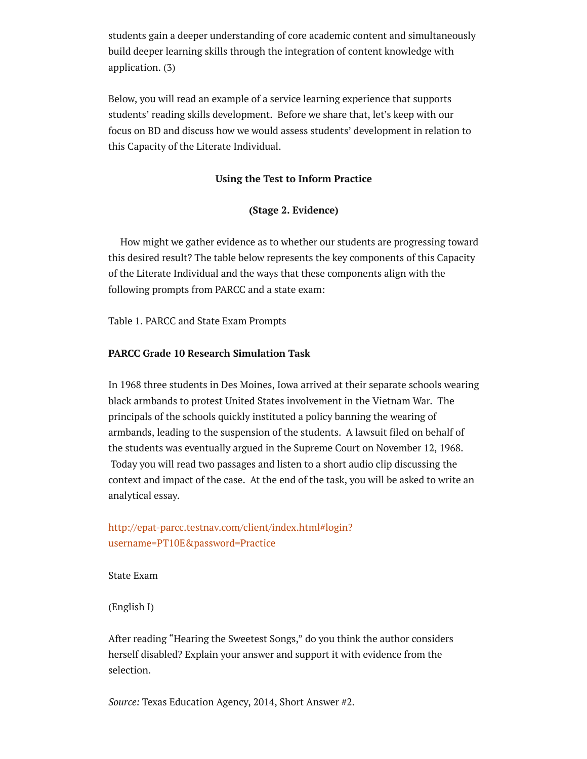students gain a deeper understanding of core academic content and simultaneously build deeper learning skills through the integration of content knowledge with application. (3)

Below, you will read an example of a service learning experience that supports students' reading skills development. Before we share that, let's keep with our focus on BD and discuss how we would assess students' development in relation to this Capacity of the Literate Individual.

#### Using the Test to Inform Practice

#### (Stage 2. Evidence)

How might we gather evidence as to whether our students are progressing toward this desired result? The table below represents the key components of this Capacity of the Literate Individual and the ways that these components align with the following prompts from PARCC and a state exam:

Table 1. PARCC and State Exam Prompts

#### PARCC Grade 10 Research Simulation Task

In 1968 three students in Des Moines, Iowa arrived at their separate schools wearing black armbands to protest United States involvement in the Vietnam War. The principals of the schools quickly instituted a policy banning the wearing of armbands, leading to the suspension of the students. A lawsuit filed on behalf of the students was eventually argued in the Supreme Court on November 12, 1968. Today you will read two passages and listen to a short audio clip discussing the context and impact of the case. At the end of the task, you will be asked to write an analytical essay.

#### [http://epat-parcc.testnav.com/client/index.html#login?](http://epat-parcc.testnav.com/client/index.html#login?username=PT10E&password=Practice) username=PT10E&password=Practice

State Exam

(English I)

After reading "Hearing the Sweetest Songs," do you think the author considers herself disabled? Explain your answer and support it with evidence from the selection.

*Source:* Texas Education Agency, 2014, Short Answer #2.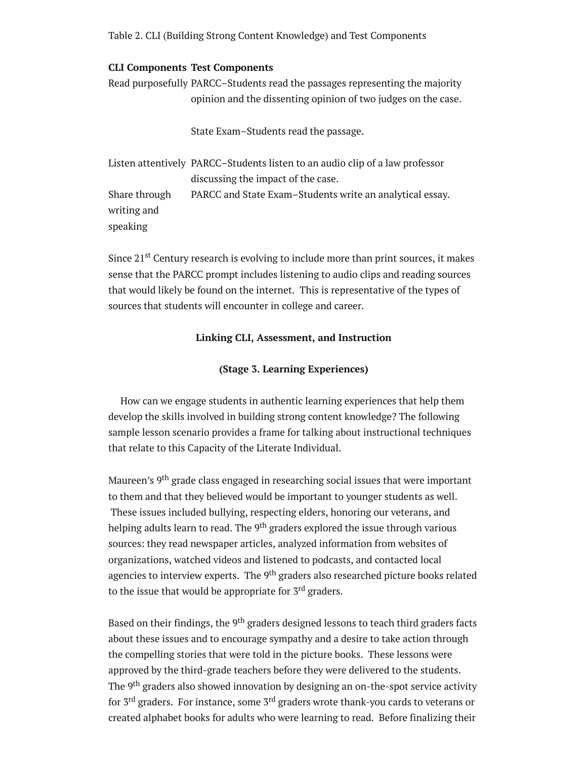Table 2. CLI (Building Strong Content Knowledge) and Test Components

#### CLI Components Test Components

Read purposefully PARCC–Students read the passages representing the majority opinion and the dissenting opinion of two judges on the case.

State Exam–Students read the passage.

Listen attentively PARCC–Students listen to an audio clip of a law professor discussing the impact of the case. Share through writing and speaking PARCC and State Exam–Students write an analytical essay.

Since 21<sup>st</sup> Century research is evolving to include more than print sources, it makes sense that the PARCC prompt includes listening to audio clips and reading sources that would likely be found on the internet. This is representative of the types of sources that students will encounter in college and career.

#### Linking CLI, Assessment, and Instruction

#### (Stage 3. Learning Experiences)

How can we engage students in authentic learning experiences that help them develop the skills involved in building strong content knowledge? The following sample lesson scenario provides a frame for talking about instructional techniques that relate to this Capacity of the Literate Individual.

Maureen's 9<sup>th</sup> grade class engaged in researching social issues that were important to them and that they believed would be important to younger students as well. These issues included bullying, respecting elders, honoring our veterans, and helping adults learn to read. The 9<sup>th</sup> graders explored the issue through various sources: they read newspaper articles, analyzed information from websites of organizations, watched videos and listened to podcasts, and contacted local agencies to interview experts. The 9<sup>th</sup> graders also researched picture books related to the issue that would be appropriate for 3<sup>rd</sup> graders.

Based on their findings, the <sup>9th</sup> graders designed lessons to teach third graders facts about these issues and to encourage sympathy and a desire to take action through the compelling stories that were told in the picture books. These lessons were approved by the third-grade teachers before they were delivered to the students. The 9<sup>th</sup> graders also showed innovation by designing an on-the-spot service activity for 3<sup>rd</sup> graders. For instance, some 3<sup>rd</sup> graders wrote thank-you cards to veterans or created alphabet books for adults who were learning to read. Before finalizing their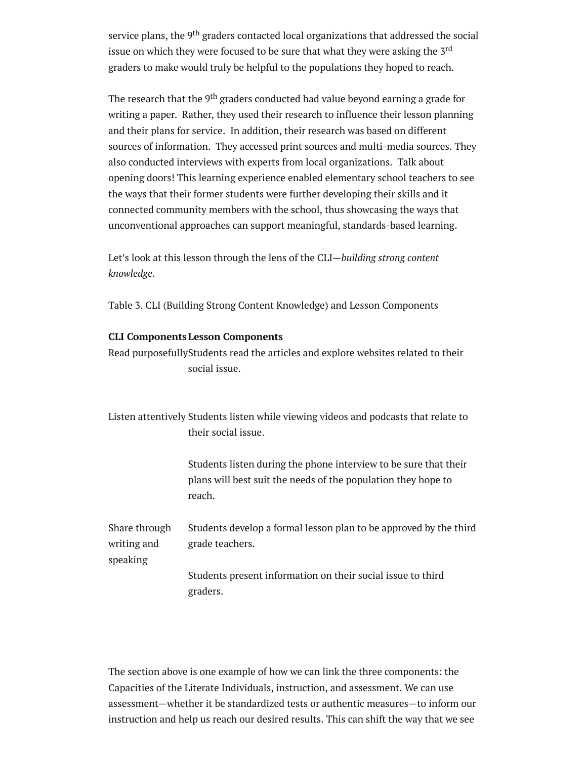service plans, the 9<sup>th</sup> graders contacted local organizations that addressed the social issue on which they were focused to be sure that what they were asking the 3<sup>rd</sup> graders to make would truly be helpful to the populations they hoped to reach.

The research that the 9<sup>th</sup> graders conducted had value beyond earning a grade for writing a paper. Rather, they used their research to influence their lesson planning and their plans for service. In addition, their research was based on different sources of information. They accessed print sources and multi-media sources. They also conducted interviews with experts from local organizations. Talk about opening doors! This learning experience enabled elementary school teachers to see the ways that their former students were further developing their skills and it connected community members with the school, thus showcasing the ways that unconventional approaches can support meaningful, standards-based learning.

Let's look at this lesson through the lens of the CLI—*building strong content knowledge*.

Table 3. CLI (Building Strong Content Knowledge) and Lesson Components

#### CLI Components Lesson Components

Read purposefullyStudents read the articles and explore websites related to their social issue.

Listen attentively Students listen while viewing videos and podcasts that relate to their social issue.

> Students listen during the phone interview to be sure that their plans will best suit the needs of the population they hope to reach.

Share through writing and speaking Students develop a formal lesson plan to be approved by the third grade teachers.

> Students present information on their social issue to third graders.

The section above is one example of how we can link the three components: the Capacities of the Literate Individuals, instruction, and assessment. We can use assessment—whether it be standardized tests or authentic measures—to inform our instruction and help us reach our desired results. This can shift the way that we see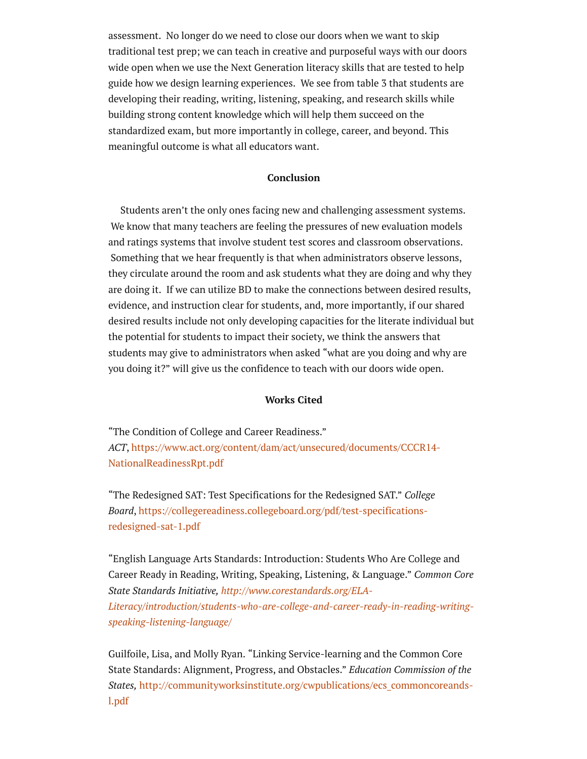assessment. No longer do we need to close our doors when we want to skip traditional test prep; we can teach in creative and purposeful ways with our doors wide open when we use the Next Generation literacy skills that are tested to help guide how we design learning experiences. We see from table 3 that students are developing their reading, writing, listening, speaking, and research skills while building strong content knowledge which will help them succeed on the standardized exam, but more importantly in college, career, and beyond. This meaningful outcome is what all educators want.

#### Conclusion

Students aren't the only ones facing new and challenging assessment systems. We know that many teachers are feeling the pressures of new evaluation models and ratings systems that involve student test scores and classroom observations. Something that we hear frequently is that when administrators observe lessons, they circulate around the room and ask students what they are doing and why they are doing it. If we can utilize BD to make the connections between desired results, evidence, and instruction clear for students, and, more importantly, if our shared desired results include not only developing capacities for the literate individual but the potential for students to impact their society, we think the answers that students may give to administrators when asked "what are you doing and why are you doing it?" will give us the confidence to teach with our doors wide open.

#### Works Cited

"The Condition of College and Career Readiness." *ACT*, [https://www.act.org/content/dam/act/unsecured/documents/CCCR14-](https://www.act.org/content/dam/act/unsecured/documents/CCCR14-NationalReadinessRpt.pdf) NationalReadinessRpt.pdf

"The Redesigned SAT: Test Specifications for the Redesigned SAT." *College Board*, [https://collegereadiness.collegeboard.org/pdf/test-specifications](https://collegereadiness.collegeboard.org/pdf/test-specifications-redesigned-sat-1.pdf)redesigned-sat-1.pdf

"English Language Arts Standards: Introduction: Students Who Are College and Career Ready in Reading, Writing, Speaking, Listening, & Language." *Common Core State Standards Initiative, http://www.corestandards.org/ELA-[Literacy/introduction/students-who-are-college-and-career-ready-in-reading-writing](http://www.corestandards.org/ELA-Literacy/introduction/students-who-are-college-and-career-ready-in-reading-writing-speaking-listening-language/)speaking-listening-language/*

Guilfoile, Lisa, and Molly Ryan. "Linking Service-learning and the Common Core State Standards: Alignment, Progress, and Obstacles." *Education Commission of the States,* [http://communityworksinstitute.org/cwpublications/ecs\\_commoncoreands](http://communityworksinstitute.org/cwpublications/ecs_commoncoreands-l.pdf)l.pdf